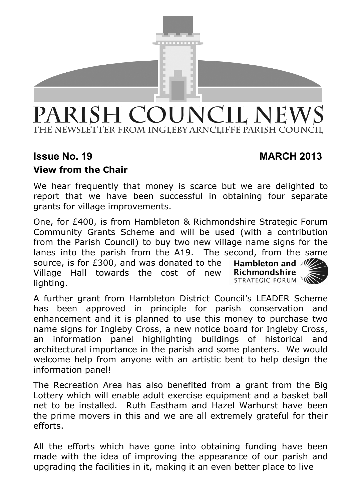

# PARISH COUNCIL NEWS THE NEWSLETTER FROM INGLEBY ARNCLIFFE PARISH COUNCIL

# **Issue No. 19 MARCH 2013**

# **View from the Chair**

We hear frequently that money is scarce but we are delighted to report that we have been successful in obtaining four separate grants for village improvements.

One, for £400, is from Hambleton & Richmondshire Strategic Forum Community Grants Scheme and will be used (with a contribution from the Parish Council) to buy two new village name signs for the lanes into the parish from the A19. The second, from the same source, is for £300, and was donated to the Hambleton and MZ Richmondshire Village Hall towards the cost of new STRATEGIC FORUM lighting.

A further grant from Hambleton District Council's LEADER Scheme has been approved in principle for parish conservation and enhancement and it is planned to use this money to purchase two name signs for Ingleby Cross, a new notice board for Ingleby Cross, an information panel highlighting buildings of historical and architectural importance in the parish and some planters. We would welcome help from anyone with an artistic bent to help design the information panel!

The Recreation Area has also benefited from a grant from the Big Lottery which will enable adult exercise equipment and a basket ball net to be installed. Ruth Eastham and Hazel Warhurst have been the prime movers in this and we are all extremely grateful for their efforts.

All the efforts which have gone into obtaining funding have been made with the idea of improving the appearance of our parish and upgrading the facilities in it, making it an even better place to live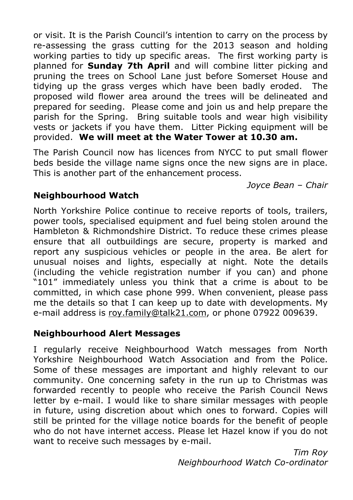or visit. It is the Parish Council's intention to carry on the process by re-assessing the grass cutting for the 2013 season and holding working parties to tidy up specific areas. The first working party is planned for **Sunday 7th April** and will combine litter picking and pruning the trees on School Lane just before Somerset House and tidying up the grass verges which have been badly eroded. The proposed wild flower area around the trees will be delineated and prepared for seeding. Please come and join us and help prepare the parish for the Spring. Bring suitable tools and wear high visibility vests or jackets if you have them. Litter Picking equipment will be provided. **We will meet at the Water Tower at 10.30 am.**

The Parish Council now has licences from NYCC to put small flower beds beside the village name signs once the new signs are in place. This is another part of the enhancement process.

 *Joyce Bean – Chair* 

# **Neighbourhood Watch**

North Yorkshire Police continue to receive reports of tools, trailers, power tools, specialised equipment and fuel being stolen around the Hambleton & Richmondshire District. To reduce these crimes please ensure that all outbuildings are secure, property is marked and report any suspicious vehicles or people in the area. Be alert for unusual noises and lights, especially at night. Note the details (including the vehicle registration number if you can) and phone "101" immediately unless you think that a crime is about to be committed, in which case phone 999. When convenient, please pass me the details so that I can keep up to date with developments. My e-mail address is roy.family@talk21.com, or phone 07922 009639.

# **Neighbourhood Alert Messages**

I regularly receive Neighbourhood Watch messages from North Yorkshire Neighbourhood Watch Association and from the Police. Some of these messages are important and highly relevant to our community. One concerning safety in the run up to Christmas was forwarded recently to people who receive the Parish Council News letter by e-mail. I would like to share similar messages with people in future, using discretion about which ones to forward. Copies will still be printed for the village notice boards for the benefit of people who do not have internet access. Please let Hazel know if you do not want to receive such messages by e-mail.

> *Tim Roy Neighbourhood Watch Co-ordinator*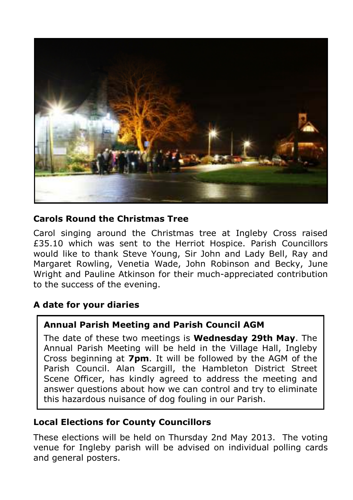

#### **Carols Round the Christmas Tree**

Carol singing around the Christmas tree at Ingleby Cross raised £35.10 which was sent to the Herriot Hospice. Parish Councillors would like to thank Steve Young, Sir John and Lady Bell, Ray and Margaret Rowling, Venetia Wade, John Robinson and Becky, June Wright and Pauline Atkinson for their much-appreciated contribution to the success of the evening.

# **A date for your diaries**

#### **Annual Parish Meeting and Parish Council AGM**

The date of these two meetings is **Wednesday 29th May**. The Annual Parish Meeting will be held in the Village Hall, Ingleby Cross beginning at **7pm**. It will be followed by the AGM of the Parish Council. Alan Scargill, the Hambleton District Street Scene Officer, has kindly agreed to address the meeting and answer questions about how we can control and try to eliminate this hazardous nuisance of dog fouling in our Parish.

#### **Local Elections for County Councillors**

These elections will be held on Thursday 2nd May 2013. The voting venue for Ingleby parish will be advised on individual polling cards and general posters.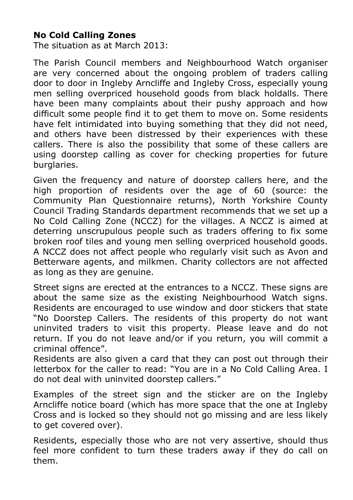#### **No Cold Calling Zones**

The situation as at March 2013:

The Parish Council members and Neighbourhood Watch organiser are very concerned about the ongoing problem of traders calling door to door in Ingleby Arncliffe and Ingleby Cross, especially young men selling overpriced household goods from black holdalls. There have been many complaints about their pushy approach and how difficult some people find it to get them to move on. Some residents have felt intimidated into buving something that they did not need, and others have been distressed by their experiences with these callers. There is also the possibility that some of these callers are using doorstep calling as cover for checking properties for future burglaries.

Given the frequency and nature of doorstep callers here, and the high proportion of residents over the age of 60 (source: the Community Plan Questionnaire returns), North Yorkshire County Council Trading Standards department recommends that we set up a No Cold Calling Zone (NCCZ) for the villages. A NCCZ is aimed at deterring unscrupulous people such as traders offering to fix some broken roof tiles and young men selling overpriced household goods. A NCCZ does not affect people who regularly visit such as Avon and Betterware agents, and milkmen. Charity collectors are not affected as long as they are genuine.

Street signs are erected at the entrances to a NCCZ. These signs are about the same size as the existing Neighbourhood Watch signs. Residents are encouraged to use window and door stickers that state "No Doorstep Callers. The residents of this property do not want uninvited traders to visit this property. Please leave and do not return. If you do not leave and/or if you return, you will commit a criminal offence".

Residents are also given a card that they can post out through their letterbox for the caller to read: "You are in a No Cold Calling Area. I do not deal with uninvited doorstep callers."

Examples of the street sign and the sticker are on the Ingleby Arncliffe notice board (which has more space that the one at Ingleby Cross and is locked so they should not go missing and are less likely to get covered over).

Residents, especially those who are not very assertive, should thus feel more confident to turn these traders away if they do call on them.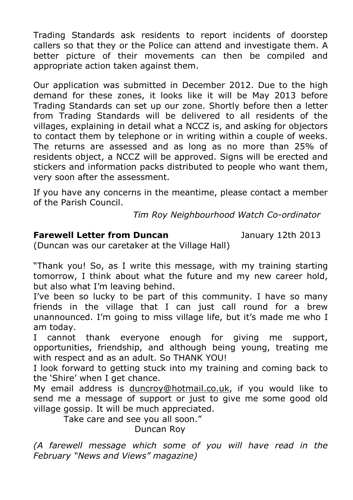Trading Standards ask residents to report incidents of doorstep callers so that they or the Police can attend and investigate them. A better picture of their movements can then be compiled and appropriate action taken against them.

Our application was submitted in December 2012. Due to the high demand for these zones, it looks like it will be May 2013 before Trading Standards can set up our zone. Shortly before then a letter from Trading Standards will be delivered to all residents of the villages, explaining in detail what a NCCZ is, and asking for objectors to contact them by telephone or in writing within a couple of weeks. The returns are assessed and as long as no more than 25% of residents object, a NCCZ will be approved. Signs will be erected and stickers and information packs distributed to people who want them, very soon after the assessment.

If you have any concerns in the meantime, please contact a member of the Parish Council.

 *Tim Roy Neighbourhood Watch Co-ordinator*

#### **Farewell Letter from Duncan** January 12th 2013

(Duncan was our caretaker at the Village Hall)

"Thank you! So, as I write this message, with my training starting tomorrow, I think about what the future and my new career hold, but also what I'm leaving behind.

I've been so lucky to be part of this community. I have so many friends in the village that I can just call round for a brew unannounced. I'm going to miss village life, but it's made me who I am today.

I cannot thank everyone enough for giving me support, opportunities, friendship, and although being young, treating me with respect and as an adult. So THANK YOU!

I look forward to getting stuck into my training and coming back to the 'Shire' when I get chance.

My email address is duncroy@hotmail.co.uk, if you would like to send me a message of support or just to give me some good old village gossip. It will be much appreciated.

Take care and see you all soon."

Duncan Roy

*(A farewell message which some of you will have read in the February "News and Views" magazine)*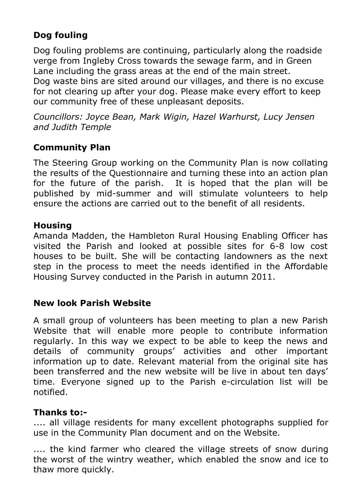# **Dog fouling**

Dog fouling problems are continuing, particularly along the roadside verge from Ingleby Cross towards the sewage farm, and in Green Lane including the grass areas at the end of the main street. Dog waste bins are sited around our villages, and there is no excuse for not clearing up after your dog. Please make every effort to keep our community free of these unpleasant deposits.

*Councillors: Joyce Bean, Mark Wigin, Hazel Warhurst, Lucy Jensen and Judith Temple* 

# **Community Plan**

The Steering Group working on the Community Plan is now collating the results of the Questionnaire and turning these into an action plan for the future of the parish. It is hoped that the plan will be published by mid-summer and will stimulate volunteers to help ensure the actions are carried out to the benefit of all residents.

#### **Housing**

Amanda Madden, the Hambleton Rural Housing Enabling Officer has visited the Parish and looked at possible sites for 6-8 low cost houses to be built. She will be contacting landowners as the next step in the process to meet the needs identified in the Affordable Housing Survey conducted in the Parish in autumn 2011.

#### **New look Parish Website**

A small group of volunteers has been meeting to plan a new Parish Website that will enable more people to contribute information regularly. In this way we expect to be able to keep the news and details of community groups' activities and other important information up to date. Relevant material from the original site has been transferred and the new website will be live in about ten days' time. Everyone signed up to the Parish e-circulation list will be notified.

#### **Thanks to:-**

.... all village residents for many excellent photographs supplied for use in the Community Plan document and on the Website.

.... the kind farmer who cleared the village streets of snow during the worst of the wintry weather, which enabled the snow and ice to thaw more quickly.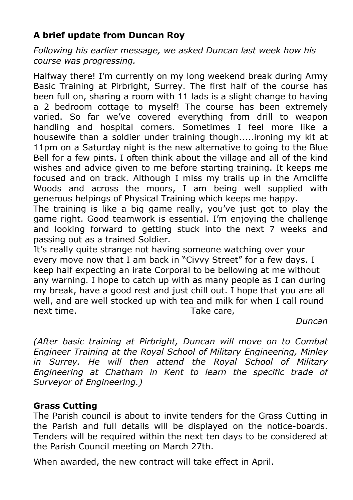# **A brief update from Duncan Roy**

*Following his earlier message, we asked Duncan last week how his course was progressing.* 

Halfway there! I'm currently on my long weekend break during Army Basic Training at Pirbright, Surrey. The first half of the course has been full on, sharing a room with 11 lads is a slight change to having a 2 bedroom cottage to myself! The course has been extremely varied. So far we've covered everything from drill to weapon handling and hospital corners. Sometimes I feel more like a housewife than a soldier under training though.....ironing my kit at 11pm on a Saturday night is the new alternative to going to the Blue Bell for a few pints. I often think about the village and all of the kind wishes and advice given to me before starting training. It keeps me focused and on track. Although I miss my trails up in the Arncliffe Woods and across the moors, I am being well supplied with generous helpings of Physical Training which keeps me happy.

The training is like a big game really, you've just got to play the game right. Good teamwork is essential. I'm enjoying the challenge and looking forward to getting stuck into the next 7 weeks and passing out as a trained Soldier.

It's really quite strange not having someone watching over your every move now that I am back in "Civvy Street" for a few days. I keep half expecting an irate Corporal to be bellowing at me without any warning. I hope to catch up with as many people as I can during my break, have a good rest and just chill out. I hope that you are all well, and are well stocked up with tea and milk for when I call round next time. **Take care**,

 *Duncan* 

*(After basic training at Pirbright, Duncan will move on to Combat Engineer Training at the Royal School of Military Engineering, Minley in Surrey. He will then attend the Royal School of Military Engineering at Chatham in Kent to learn the specific trade of Surveyor of Engineering.)* 

# **Grass Cutting**

The Parish council is about to invite tenders for the Grass Cutting in the Parish and full details will be displayed on the notice-boards. Tenders will be required within the next ten days to be considered at the Parish Council meeting on March 27th.

When awarded, the new contract will take effect in April.